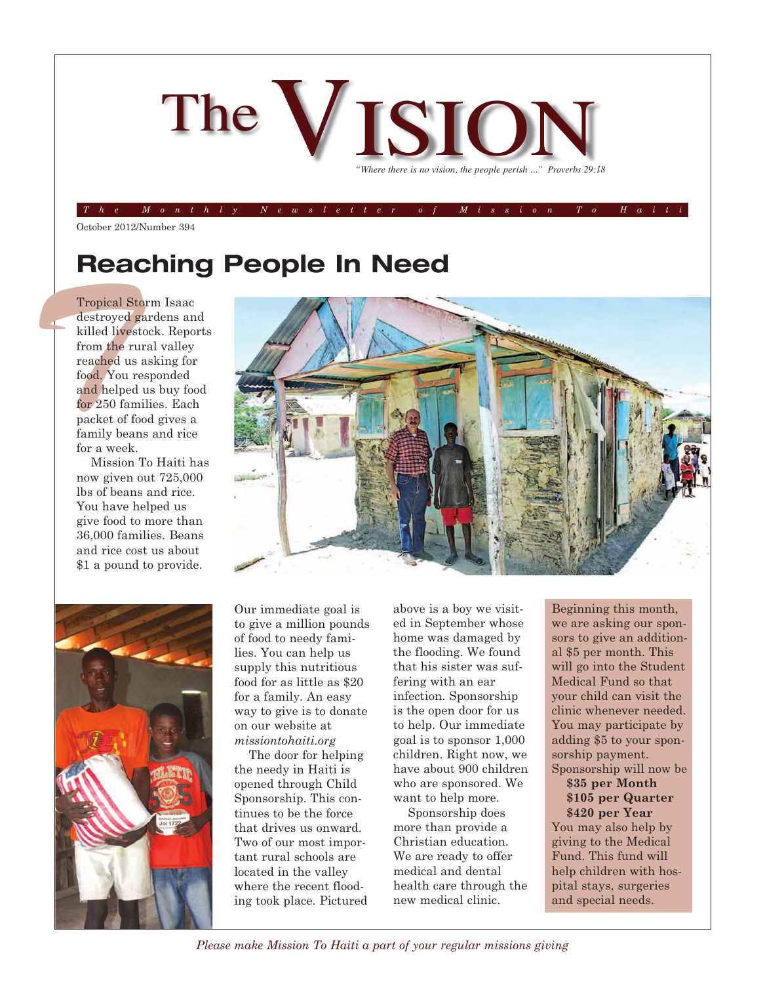

#### The Monthly Newsletter of Mission To Hait

October 2012/Number 394

## **Reaching People In Need**

Tropical S<br>
destroyed<br>
killed live<br>
from the r<br>
reached us<br>
food, You<br>
and helpe<br>
for 250 far<br>
packet of i<br>
family bes<br>
for a week Tropical Storm Isaac destroyed gardens and killed livestock. Reports from the rural valley reached us asking for food. You responded and helped us buy food for 250 families. Each packet of food gives a family beans and rice for a week.

Mission To Haiti has now given out 725,000 lbs of beans and rice. You have helped us give food to more than 36,000 families. Beans and rice cost us about \$1 a pound to provide.





Our immediate goal is to give a million pounds of food to needy families. You can help us supply this nutritious food for as little as \$20 for a family. An easy way to give is to donate on our website at *missiontohaiti.org*

The door for helping the needy in Haiti is opened through Child Sponsorship. This continues to be the force that drives us onward. Two of our most important rural schools are located in the valley where the recent flooding took place. Pictured above is a boy we visited in September whose home was damaged by the flooding. We found that his sister was suffering with an ear infection. Sponsorship is the open door for us to help. Our immediate goal is to sponsor 1,000 children. Right now, we have about 900 children who are sponsored. We want to help more.

Sponsorship does more than provide a Christian education. We are ready to offer medical and dental health care through the new medical clinic.

Beginning this month, we are asking our sponsors to give an additional \$5 per month. This will go into the Student Medical Fund so that your child can visit the clinic whenever needed. You may participate by adding \$5 to your sponsorship payment. Sponsorship will now be

### **\$35 per Month \$105 per Quarter \$420 per Year**

You may also help by giving to the Medical Fund. This fund will help children with hospital stays, surgeries and special needs.

*Please make Mission To Haiti a part of your regular missions giving*